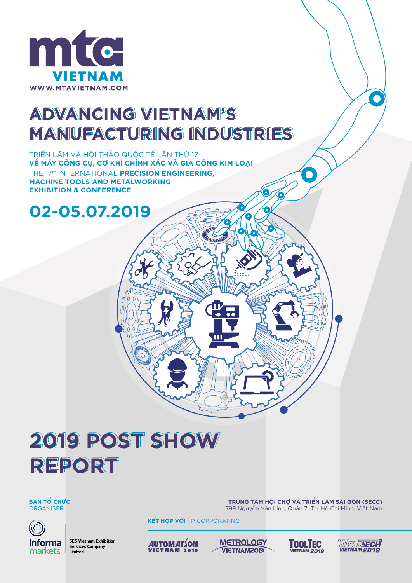

# **ADVANCING VIETNAM'S MANUFACTURING INDUSTRIES**

TRIỂN LÃM VÀ HỘI THẢO QUỐC TẾ LẦN THỨ 17 VỀ MÁY CÔNG CU, CƠ KHÍ CHÍNH XÁC VÀ GIA CÔNG KIM LOAI THE 17th INTERNATIONAL **PRECISION ENGINEERING, MACHINE TOOLS AND METALWORKING EXHIBITION & CONFERENCE**

### **02-05.07.2019**

# **2019 POST SHOW REPORT**

**BAN TỔ CHỨC** ORGANISER



**SES Vietnam Exhibition Services Company** Limited

**KẾT HỢP VỚI** | INCORPORATING



**METROLOGY VIETNAM2019** 





 $\sqrt{2}$ 

**TRUNG TÂM HỘI CHỢ VÀ TRIỂN LÃM SÀI GÒN (SECC)** 799 Nguyễn Văn Linh, Quận 7, Tp. Hồ Chí Minh, Việt Nam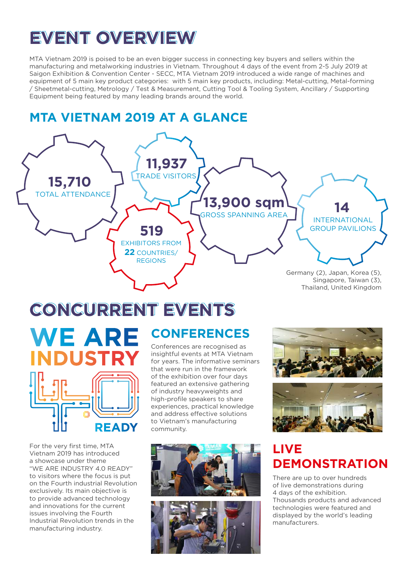# **EVENT OVERVIEW**

MTA Vietnam 2019 is poised to be an even bigger success in connecting key buyers and sellers within the manufacturing and metalworking industries in Vietnam. Throughout 4 days of the event from 2-5 July 2019 at Saigon Exhibition & Convention Center - SECC, MTA Vietnam 2019 introduced a wide range of machines and equipment of 5 main key product categories: with 5 main key products, including: Metal-cutting, Metal-forming / Sheetmetal-cutting, Metrology / Test & Measurement, Cutting Tool & Tooling System, Ancillary / Supporting Equipment being featured by many leading brands around the world.

### **MTA VIETNAM 2019 AT A GLANCE**



# **CONCURRENT EVENTS**



For the very first time, MTA Vietnam 2019 has introduced a showcase under theme "WE ARE INDUSTRY 4.0 READY" to visitors where the focus is put on the Fourth industrial Revolution exclusively. Its main objective is to provide advanced technology and innovations for the current issues involving the Fourth Industrial Revolution trends in the manufacturing industry.

Conferences are recognised as insightful events at MTA Vietnam for years. The informative seminars that were run in the framework of the exhibition over four days featured an extensive gathering of industry heavyweights and high-profile speakers to share experiences, practical knowledge and address effective solutions to Vietnam's manufacturing community.







### **LIVE DEMONSTRATION**

There are up to over hundreds of live demonstrations during 4 days of the exhibition. Thousands products and advanced technologies were featured and displayed by the world's leading manufacturers.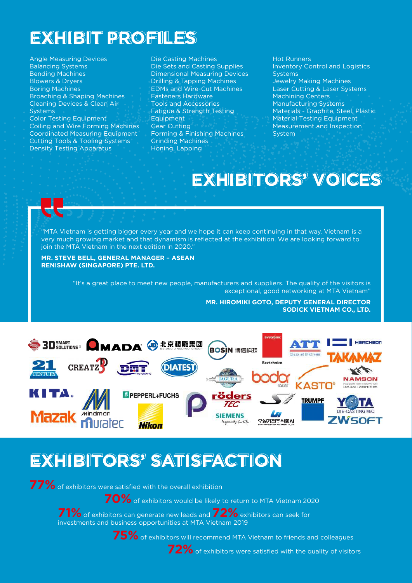## **EXHIBIT PROFILES**

Angle Measuring Devices Balancing Systems Bending Machines Blowers & Dryers Boring Machines Broaching & Shaping Machines Cleaning Devices & Clean Air Systems Color Testing Equipment Coiling and Wire Forming Machines Coordinated Measuring Equipment Cutting Tools & Tooling Systems Density Testing Apparatus

Die Casting Machines Die Sets and Casting Supplies Dimensional Measuring Devices Drilling & Tapping Machines EDMs and Wire-Cut Machines Fasteners Hardware Tools and Accessories Fatigue & Strength Testing **Equipment** Gear Cutting Forming & Finishing Machines Grinding Machines Honing, Lapping

Hot Runners Inventory Control and Logistics Systems Jewelry Making Machines Laser Cutting & Laser Systems Machining Centers Manufacturing Systems Materials - Graphite, Steel, Plastic Material Testing Equipment Measurement and Inspection System

### **EXHIBITORS' VOICES**

"MTA Vietnam is getting bigger every year and we hope it can keep continuing in that way. Vietnam is a very much growing market and that dynamism is reflected at the exhibition. We are looking forward to join the MTA Vietnam in the next edition in 2020."

#### **MR. STEVE BELL, GENERAL MANAGER – ASEAN RENISHAW (SINGAPORE) PTE. LTD.**

"It's a great place to meet new people, manufacturers and suppliers. The quality of the visitors is exceptional, good networking at MTA Vietnam"

> **MR. HIROMIKI GOTO, DEPUTY GENERAL DIRECTOR SODICK VIETNAM CO., LTD.**



### **EXHIBITORS' SATISFACTION**

**77%** of exhibitors were satisfied with the overall exhibition

**70%** of exhibitors would be likely to return to MTA Vietnam 2020

**71%** of exhibitors can generate new leads and **72%** exhibitors can seek for investments and business opportunities at MTA Vietnam 2019

**75%** of exhibitors will recommend MTA Vietnam to friends and colleagues



**72%** of exhibitors were satisfied with the quality of visitors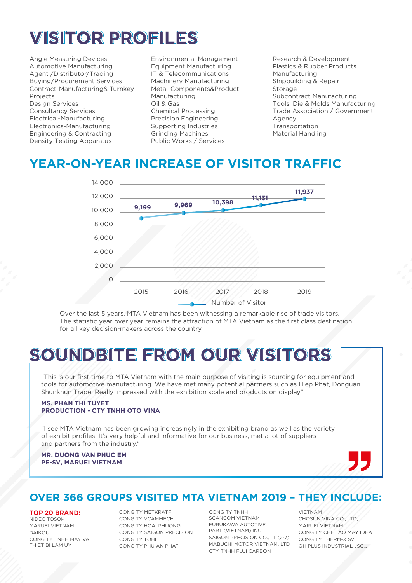# **VISITOR PROFILES**

Angle Measuring Devices Automotive Manufacturing Agent /Distributor/Trading Buying/Procurement Services Contract-Manufacturing& Turnkey Projects Design Services Consultancy Services Electrical-Manufacturing Electronics-Manufacturing Engineering & Contracting Density Testing Apparatus

Environmental Management Equipment Manufacturing IT & Telecommunications Machinery Manufacturing Metal-Components&Product Manufacturing Oil & Gas Chemical Processing Precision Engineering Supporting Industries Grinding Machines Public Works / Services

Research & Development Plastics & Rubber Products Manufacturing Shipbuilding & Repair Storage Subcontract Manufacturing Tools, Die & Molds Manufacturing Trade Association / Government Agency Transportation Material Handling

### **YEAR-ON-YEAR INCREASE OF VISITOR TRAFFIC**



Over the last 5 years, MTA Vietnam has been witnessing a remarkable rise of trade visitors. The statistic year over year remains the attraction of MTA Vietnam as the first class destination for all key decision-makers across the country.

# **SOUNDBITE FROM OUR VISITORS**

"This is our first time to MTA Vietnam with the main purpose of visiting is sourcing for equipment and tools for automotive manufacturing. We have met many potential partners such as Hiep Phat, Donguan Shunkhun Trade. Really impressed with the exhibition scale and products on display"

#### **MS. PHAN THI TUYET PRODUCTION - CTY TNHH OTO VINA**

"I see MTA Vietnam has been growing increasingly in the exhibiting brand as well as the variety of exhibit profiles. It's very helpful and informative for our business, met a lot of suppliers and partners from the industry."

#### **MR. DUONG VAN PHUC EM PE-SV, MARUEI VIETNAM**



### **OVER 366 GROUPS VISITED MTA VIETNAM 2019 – THEY INCLUDE:**

#### **TOP 20 BRAND:**

NIDEC TOSOK MARUEI VIETNAM DAIKOU CONG TY TNHH MAY VA THIET BI LAM UY

CONG TY METKRATF CONG TY VCAMMECH CONG TY HOAI PHUONG CONG TY SAIGON PRECISION CONG TY TOHI CONG TY PHU AN PHAT

CONG TY TNHH SCANCOM VIETNAM FURUKAWA AUTOTIVE PART (VIETNAM) INC SAIGON PRECISION CO., LT (2-7) MABUCHI MOTOR VIETNAM, LTD CTY TNHH FUJI CARBON

VIETNAM CHOSUN VINA CO., LTD, MARUEI VIETNAM CONG TY CHE TAO MAY IDEA CONG TY THERM-X SVT QH PLUS INDUSTRIAL JSC…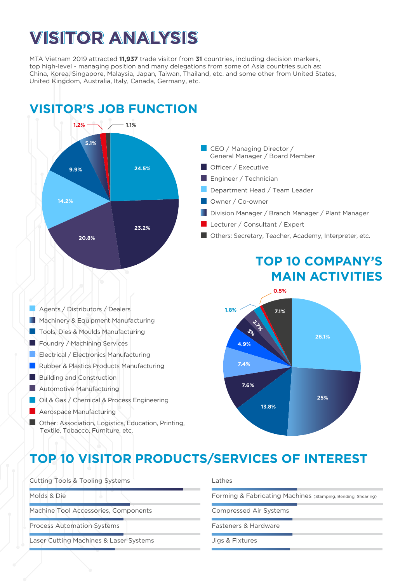# **VISITOR ANALYSIS**

MTA Vietnam 2019 attracted **11,937** trade visitor from **31** countries, including decision markers, top high-level - managing position and many delegations from some of Asia countries such as: China, Korea, Singapore, Malaysia, Japan, Taiwan, Thailand, etc. and some other from United States, United Kingdom, Australia, Italy, Canada, Germany, etc.



### **TOP 10 VISITOR PRODUCTS/SERVICES OF INTEREST**

Cutting Tools & Tooling Systems Molds & Die Machine Tool Accessories, Components Process Automation Systems Laser Cutting Machines & Laser Systems Jigs & Fixtures

#### Lathes

Forming & Fabricating Machines (Stamping, Bending, Shearing)

Compressed Air Systems

Fasteners & Hardware